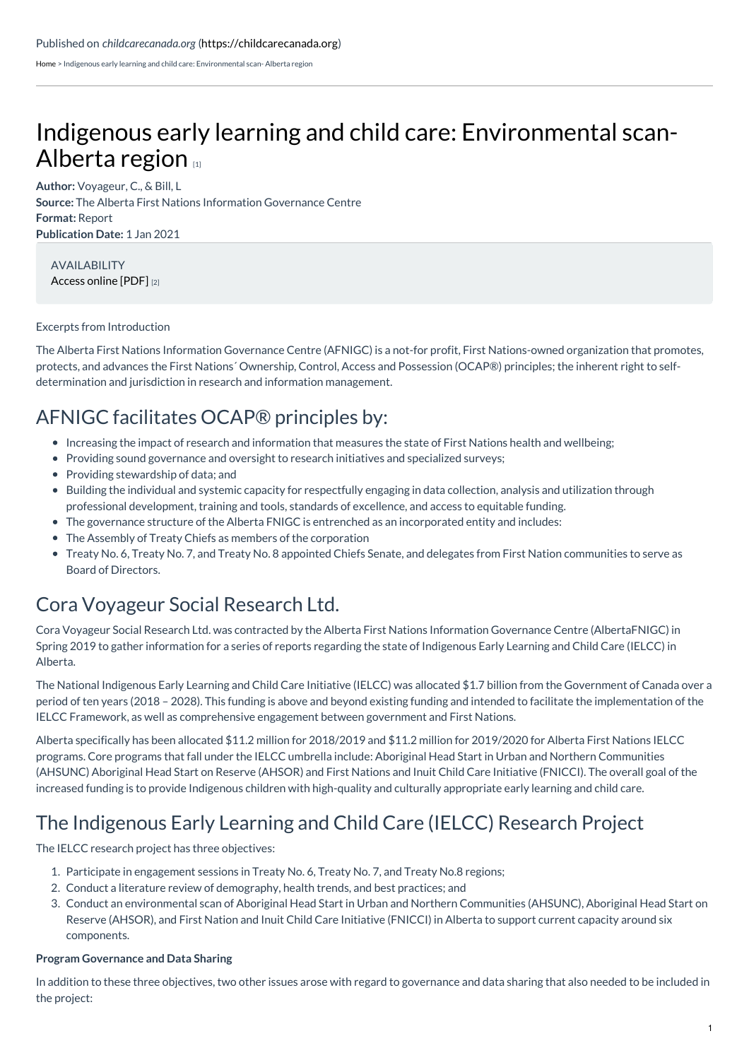[Home](https://childcarecanada.org/) > Indigenous early learning and child care: Environmental scan- Alberta region

# Indigenous early learning and child care: [Environmental](https://childcarecanada.org/documents/research-policy-practice/21/08/indigenous-early-learning-and-child-care-environmental-scan) scan-Alberta region

**Author:** Voyageur, C., & Bill, L **Source:** The Alberta First Nations Information Governance Centre **Format:** Report **Publication Date:** 1 Jan 2021

AVAILABILITY [Access](http://www.afnigc.ca/main/includes/media/pdf/digital%20reports/IELCC%20Environmental%20Scan%20FINAL.pdf) online [PDF] [2]

#### Excerpts from Introduction

The Alberta First Nations Information Governance Centre (AFNIGC) is a not-for profit, First Nations-owned organization that promotes, protects, and advances the First Nations´ Ownership, Control, Access and Possession (OCAP®) principles; the inherent right to selfdetermination and jurisdiction in research and information management.

### AFNIGC facilitates OCAP® principles by:

- Increasing the impact of research and information that measures the state of First Nations health and wellbeing;
- Providing sound governance and oversight to research initiatives and specialized surveys;
- Providing stewardship of data; and
- Building the individual and systemic capacity for respectfully engaging in data collection, analysis and utilization through professional development, training and tools, standards of excellence, and access to equitable funding.
- The governance structure of the Alberta FNIGC is entrenched as an incorporated entity and includes:
- The Assembly of Treaty Chiefs as members of the corporation
- Treaty No. 6, Treaty No. 7, and Treaty No. 8 appointed Chiefs Senate, and delegates from First Nation communities to serve as Board of Directors.

### Cora Voyageur Social Research Ltd.

Cora Voyageur Social Research Ltd. was contracted by the Alberta First Nations Information Governance Centre (AlbertaFNIGC) in Spring 2019 to gather information for a series of reports regarding the state of Indigenous Early Learning and Child Care (IELCC) in Alberta.

The National Indigenous Early Learning and Child Care Initiative (IELCC) was allocated \$1.7 billion from the Government of Canada over a period of ten years (2018 – 2028). This funding is above and beyond existing funding and intended to facilitate the implementation of the IELCC Framework, as well as comprehensive engagement between government and First Nations.

Alberta specifically has been allocated \$11.2 million for 2018/2019 and \$11.2 million for 2019/2020 for Alberta First Nations IELCC programs. Core programs that fall under the IELCC umbrella include: Aboriginal Head Start in Urban and Northern Communities (AHSUNC) Aboriginal Head Start on Reserve (AHSOR) and First Nations and Inuit Child Care Initiative (FNICCI). The overall goal of the increased funding is to provide Indigenous children with high-quality and culturally appropriate early learning and child care.

## The Indigenous Early Learning and Child Care (IELCC) Research Project

The IELCC research project has three objectives:

- 1. Participate in engagement sessions in Treaty No. 6, Treaty No. 7, and Treaty No.8 regions;
- 2. Conduct a literature review of demography, health trends, and best practices; and
- 3. Conduct an environmental scan of Aboriginal Head Start in Urban and Northern Communities (AHSUNC), Aboriginal Head Start on Reserve (AHSOR), and First Nation and Inuit Child Care Initiative (FNICCI) in Alberta to support current capacity around six components.

#### **Program Governance and Data Sharing**

In addition to these three objectives, two other issues arose with regard to governance and data sharing that also needed to be included in the project: